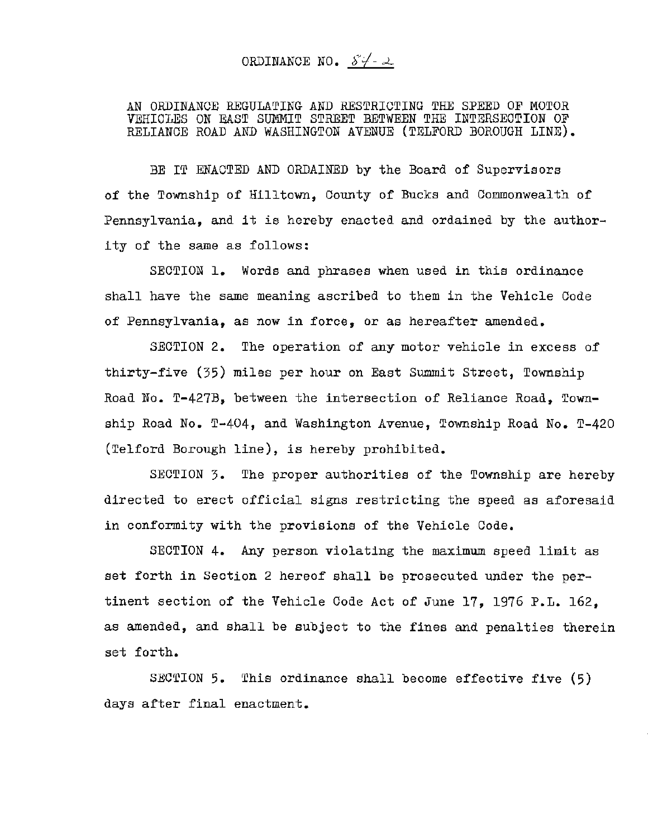ORDINANCE NO.  $84 - 2$ 

AN ORDINANCE REGULATING AND RESTRICTING THE SPEED OF MOTOR VEHICLES ON EAST SUMMIT STREET BETWEEN THE INTERSECTION OF RELIANCE ROAD AND WASHINGTON AVENUE (TELFORD BOROUGH LINE).

BE IT ENACTED AND ORDAINED by the Board of Supervisors of the Township of Hilltown, County of Bucks and Commonwealth of Pennsylvania, and it is hereby enacted and ordained by the authority of the same as follows:

SECTION 1. Words and phrases when used in this ordinance shall have the same meaning ascribed to them in the Vehicle Code of Pennsylvania, as now in force, or as hereafter amended.

SECTION 2. The operation of any motor vehicle in excess of thirty-five (35) miles per hour on East Summit Street, Township Road No. T-427B, between the intersection of Reliance Road, Township Road No. T-404, and Washington Avenue, Township Road No. T-420 (Telford Borough line), is hereby prohibited.

SECTION 3. The proper authorities of the Township are hereby directed to erect official signs restricting the speed as aforesaid in conformity with the provisions of the Vehicle Code.

SECTION 4. Any person violating the maximum speed limit as set forth in Section 2 hereof shall be prosecuted under the pertinent section of the Vehicle Code Act of June 17, 1976 P.L. 162, as amended, and shall be subject to the fines and penalties therein set forth.

SECTION 5. This ordinance shall become effective five (5) days after final enactment.